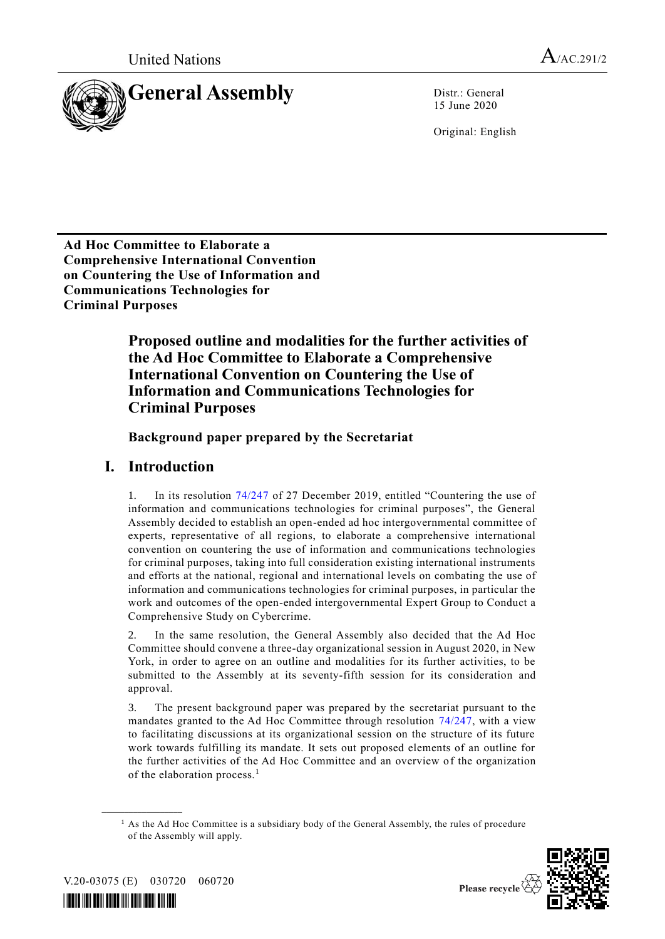

15 June 2020

Original: English

**Ad Hoc Committee to Elaborate a Comprehensive International Convention on Countering the Use of Information and Communications Technologies for Criminal Purposes**

> **Proposed outline and modalities for the further activities of the Ad Hoc Committee to Elaborate a Comprehensive International Convention on Countering the Use of Information and Communications Technologies for Criminal Purposes**

**Background paper prepared by the Secretariat**

## **I. Introduction**

1. In its resolution [74/247](https://undocs.org/en/A/RES/74/247) of 27 December 2019, entitled "Countering the use of information and communications technologies for criminal purposes", the General Assembly decided to establish an open-ended ad hoc intergovernmental committee of experts, representative of all regions, to elaborate a comprehensive international convention on countering the use of information and communications technologies for criminal purposes, taking into full consideration existing international instruments and efforts at the national, regional and international levels on combating the use of information and communications technologies for criminal purposes, in particular the work and outcomes of the open-ended intergovernmental Expert Group to Conduct a Comprehensive Study on Cybercrime.

2. In the same resolution, the General Assembly also decided that the Ad Hoc Committee should convene a three-day organizational session in August 2020, in New York, in order to agree on an outline and modalities for its further activities, to be submitted to the Assembly at its seventy-fifth session for its consideration and approval.

3. The present background paper was prepared by the secretariat pursuant to the mandates granted to the Ad Hoc Committee through resolution [74/247,](https://undocs.org/en/A/RES/74/247) with a view to facilitating discussions at its organizational session on the structure of its future work towards fulfilling its mandate. It sets out proposed elements of an outline for the further activities of the Ad Hoc Committee and an overview of the organization of the elaboration process.<sup>1</sup>

 $<sup>1</sup>$  As the Ad Hoc Committee is a subsidiary body of the General Assembly, the rules of procedure</sup> of the Assembly will apply.



Please recycle  $\overline{\diamond}$ 

V.20-03075 (E) 030720 060720

**\_\_\_\_\_\_\_\_\_\_\_\_\_\_\_\_\_\_**

*\*2003075\**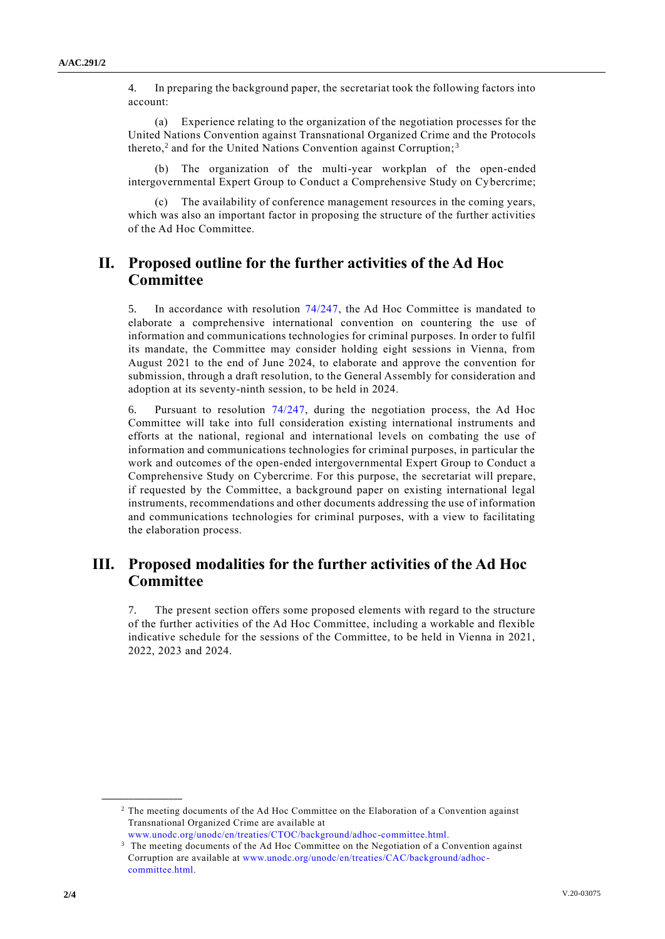4. In preparing the background paper, the secretariat took the following factors into account:

(a) Experience relating to the organization of the negotiation processes for the United Nations Convention against Transnational Organized Crime and the Protocols thereto,<sup>2</sup> and for the United Nations Convention against Corruption;<sup>3</sup>

The organization of the multi-year workplan of the open-ended intergovernmental Expert Group to Conduct a Comprehensive Study on Cy bercrime;

The availability of conference management resources in the coming years, which was also an important factor in proposing the structure of the further activities of the Ad Hoc Committee.

## **II. Proposed outline for the further activities of the Ad Hoc Committee**

5. In accordance with resolution [74/247,](https://undocs.org/en/A/RES/74/247) the Ad Hoc Committee is mandated to elaborate a comprehensive international convention on countering the use of information and communications technologies for criminal purposes. In order to fulfil its mandate, the Committee may consider holding eight sessions in Vienna, from August 2021 to the end of June 2024, to elaborate and approve the convention for submission, through a draft resolution, to the General Assembly for consideration and adoption at its seventy-ninth session, to be held in 2024.

6. Pursuant to resolution [74/247,](https://undocs.org/en/A/RES/74/247) during the negotiation process, the Ad Hoc Committee will take into full consideration existing international instruments and efforts at the national, regional and international levels on combating the use of information and communications technologies for criminal purposes, in particular the work and outcomes of the open-ended intergovernmental Expert Group to Conduct a Comprehensive Study on Cybercrime. For this purpose, the secretariat will prepare, if requested by the Committee, a background paper on existing international legal instruments, recommendations and other documents addressing the use of information and communications technologies for criminal purposes, with a view to facilitating the elaboration process.

## **III. Proposed modalities for the further activities of the Ad Hoc Committee**

7. The present section offers some proposed elements with regard to the structure of the further activities of the Ad Hoc Committee, including a workable and flexible indicative schedule for the sessions of the Committee, to be held in Vienna in 2021, 2022, 2023 and 2024.

**\_\_\_\_\_\_\_\_\_\_\_\_\_\_\_\_\_\_**

<sup>2</sup> The meeting documents of the Ad Hoc Committee on the Elaboration of a Convention against Transnational Organized Crime are available at

[www.unodc.org/unodc/en/treaties/CTOC/background/adhoc-committee.html.](http://www.unodc.org/unodc/en/treaties/CTOC/background/adhoc-committee.html)

<sup>&</sup>lt;sup>3</sup> The meeting documents of the Ad Hoc Committee on the Negotiation of a Convention against Corruption are available at [www.unodc.org/unodc/en/treaties/CAC/background/adhoc](http://www.unodc.org/unodc/en/treaties/CAC/background/adhoc-committee.html)[committee.html.](http://www.unodc.org/unodc/en/treaties/CAC/background/adhoc-committee.html)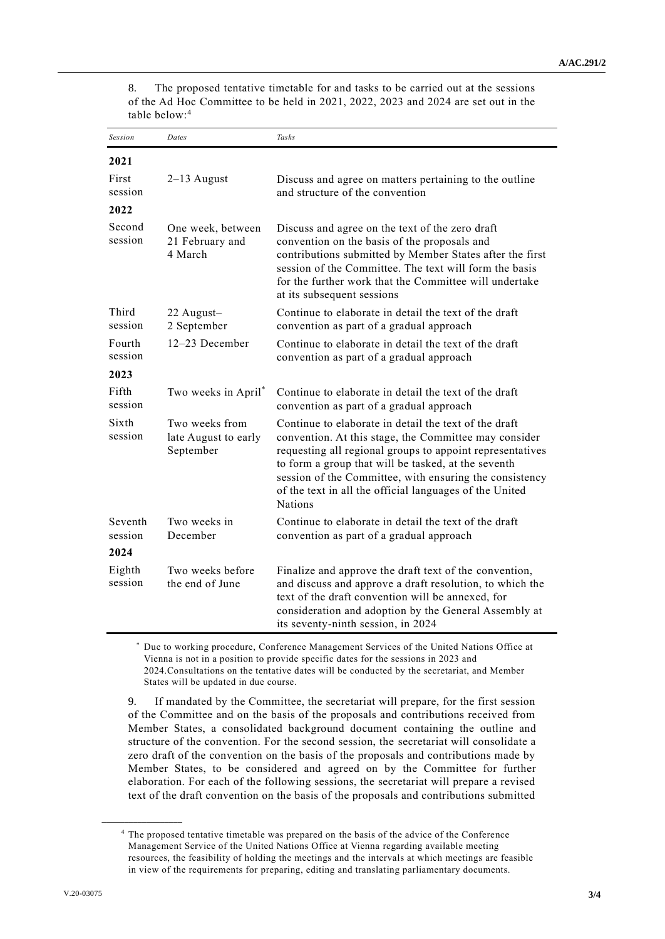8. The proposed tentative timetable for and tasks to be carried out at the sessions of the Ad Hoc Committee to be held in 2021, 2022, 2023 and 2024 are set out in the table below:<sup>4</sup>

| <b>Session</b>             | Dates                                               | Tasks                                                                                                                                                                                                                                                                                                                                                                      |
|----------------------------|-----------------------------------------------------|----------------------------------------------------------------------------------------------------------------------------------------------------------------------------------------------------------------------------------------------------------------------------------------------------------------------------------------------------------------------------|
| 2021                       |                                                     |                                                                                                                                                                                                                                                                                                                                                                            |
| First<br>session           | $2-13$ August                                       | Discuss and agree on matters pertaining to the outline<br>and structure of the convention                                                                                                                                                                                                                                                                                  |
| 2022                       |                                                     |                                                                                                                                                                                                                                                                                                                                                                            |
| Second<br>session          | One week, between<br>21 February and<br>4 March     | Discuss and agree on the text of the zero draft<br>convention on the basis of the proposals and<br>contributions submitted by Member States after the first<br>session of the Committee. The text will form the basis<br>for the further work that the Committee will undertake<br>at its subsequent sessions                                                              |
| Third<br>session           | 22 August-<br>2 September                           | Continue to elaborate in detail the text of the draft<br>convention as part of a gradual approach                                                                                                                                                                                                                                                                          |
| Fourth<br>session          | 12-23 December                                      | Continue to elaborate in detail the text of the draft<br>convention as part of a gradual approach                                                                                                                                                                                                                                                                          |
| 2023                       |                                                     |                                                                                                                                                                                                                                                                                                                                                                            |
| Fifth<br>session           | Two weeks in April <sup>*</sup>                     | Continue to elaborate in detail the text of the draft<br>convention as part of a gradual approach                                                                                                                                                                                                                                                                          |
| Sixth<br>session           | Two weeks from<br>late August to early<br>September | Continue to elaborate in detail the text of the draft<br>convention. At this stage, the Committee may consider<br>requesting all regional groups to appoint representatives<br>to form a group that will be tasked, at the seventh<br>session of the Committee, with ensuring the consistency<br>of the text in all the official languages of the United<br><b>Nations</b> |
| Seventh<br>session<br>2024 | Two weeks in<br>December                            | Continue to elaborate in detail the text of the draft<br>convention as part of a gradual approach                                                                                                                                                                                                                                                                          |
| Eighth<br>session          | Two weeks before<br>the end of June                 | Finalize and approve the draft text of the convention,<br>and discuss and approve a draft resolution, to which the<br>text of the draft convention will be annexed, for<br>consideration and adoption by the General Assembly at<br>its seventy-ninth session, in 2024                                                                                                     |

\* Due to working procedure, Conference Management Services of the United Nations Office at Vienna is not in a position to provide specific dates for the sessions in 2023 and 2024.Consultations on the tentative dates will be conducted by the secretariat, and Member States will be updated in due course.

9. If mandated by the Committee, the secretariat will prepare, for the first session of the Committee and on the basis of the proposals and contributions received from Member States, a consolidated background document containing the outline and structure of the convention. For the second session, the secretariat will consolidate a zero draft of the convention on the basis of the proposals and contributions made by Member States, to be considered and agreed on by the Committee for further elaboration. For each of the following sessions, the secretariat will prepare a revised text of the draft convention on the basis of the proposals and contributions submitted

**\_\_\_\_\_\_\_\_\_\_\_\_\_\_\_\_\_\_**

<sup>4</sup> The proposed tentative timetable was prepared on the basis of the advice of the Conference Management Service of the United Nations Office at Vienna regarding available meeting resources, the feasibility of holding the meetings and the intervals at which meetings are feasible in view of the requirements for preparing, editing and translating parliamentary documents.